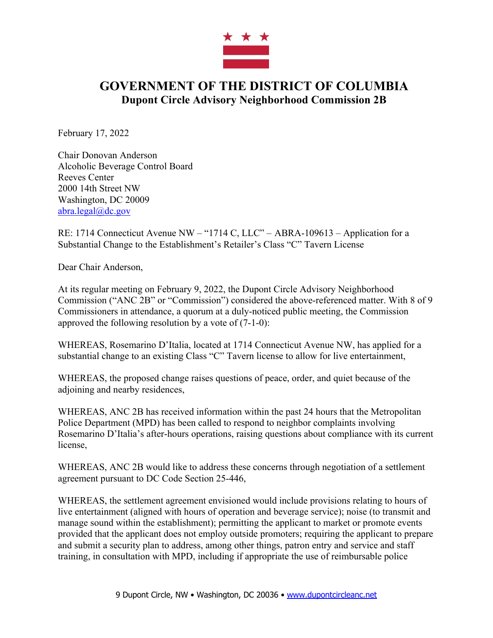

## **GOVERNMENT OF THE DISTRICT OF COLUMBIA Dupont Circle Advisory Neighborhood Commission 2B**

February 17, 2022

Chair Donovan Anderson Alcoholic Beverage Control Board Reeves Center 2000 14th Street NW Washington, DC 20009 abra.legal@dc.gov

RE: 1714 Connecticut Avenue NW – "1714 C, LLC" – ABRA-109613 – Application for a Substantial Change to the Establishment's Retailer's Class "C" Tavern License

Dear Chair Anderson,

At its regular meeting on February 9, 2022, the Dupont Circle Advisory Neighborhood Commission ("ANC 2B" or "Commission") considered the above-referenced matter. With 8 of 9 Commissioners in attendance, a quorum at a duly-noticed public meeting, the Commission approved the following resolution by a vote of (7-1-0):

WHEREAS, Rosemarino D'Italia, located at 1714 Connecticut Avenue NW, has applied for a substantial change to an existing Class "C" Tavern license to allow for live entertainment,

WHEREAS, the proposed change raises questions of peace, order, and quiet because of the adjoining and nearby residences,

WHEREAS, ANC 2B has received information within the past 24 hours that the Metropolitan Police Department (MPD) has been called to respond to neighbor complaints involving Rosemarino D'Italia's after-hours operations, raising questions about compliance with its current license,

WHEREAS, ANC 2B would like to address these concerns through negotiation of a settlement agreement pursuant to DC Code Section 25-446,

WHEREAS, the settlement agreement envisioned would include provisions relating to hours of live entertainment (aligned with hours of operation and beverage service); noise (to transmit and manage sound within the establishment); permitting the applicant to market or promote events provided that the applicant does not employ outside promoters; requiring the applicant to prepare and submit a security plan to address, among other things, patron entry and service and staff training, in consultation with MPD, including if appropriate the use of reimbursable police